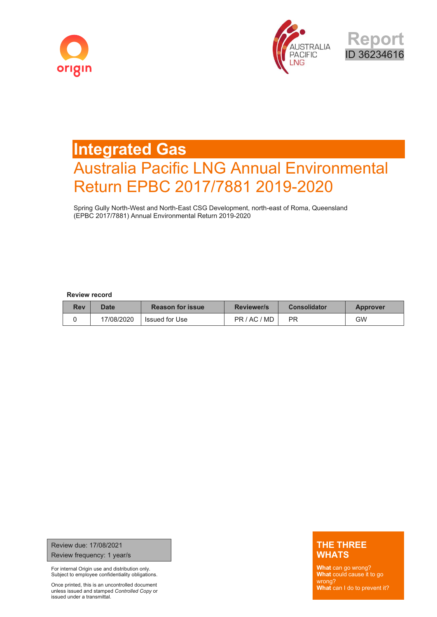





# **Integrated Gas** Australia Pacific LNG Annual Environmental Return EPBC 2017/7881 2019-2020

Spring Gully North-West and North-East CSG Development, north-east of Roma, Queensland (EPBC 2017/7881) Annual Environmental Return 2019-2020

#### **Review record**

| <b>Rev</b> | Date       | <b>Reason for issue</b> | <b>Reviewer/s</b> | <b>Consolidator</b> | <b>Approver</b> |
|------------|------------|-------------------------|-------------------|---------------------|-----------------|
|            | 17/08/2020 | Issued for Use          | PR/AC/MD          | PR                  | GW              |

Review due: 17/08/2021 Review frequency: 1 year/s

For internal Origin use and distribution only. Subject to employee confidentiality obligations.

Once printed, this is an uncontrolled document unless issued and stamped *Controlled Copy* or issued under a transmittal.

#### **THE THREE WHATS**

**What** can go wrong? **What** could cause it to go wrong? **What** can I do to prevent it?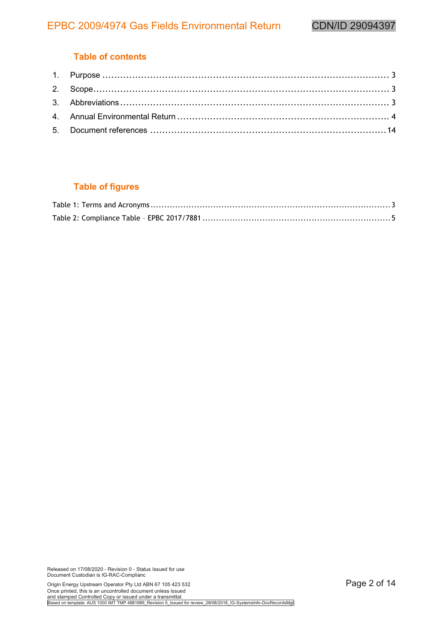# **Table of contents**

# **Table of figures**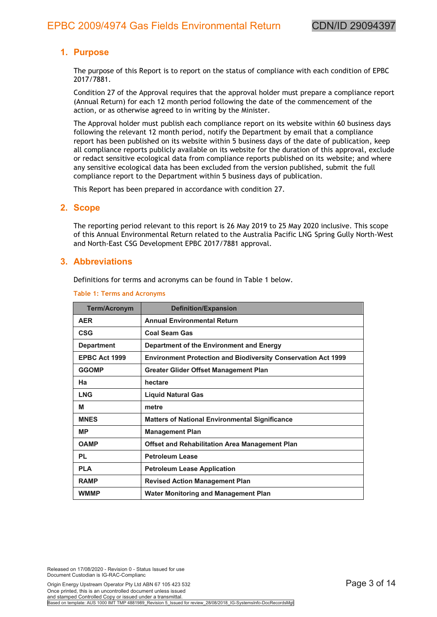## <span id="page-2-0"></span>**1. Purpose**

The purpose of this Report is to report on the status of compliance with each condition of EPBC 2017/7881.

Condition 27 of the Approval requires that the approval holder must prepare a compliance report (Annual Return) for each 12 month period following the date of the commencement of the action, or as otherwise agreed to in writing by the Minister.

The Approval holder must publish each compliance report on its website within 60 business days following the relevant 12 month period, notify the Department by email that a compliance report has been published on its website within 5 business days of the date of publication, keep all compliance reports publicly available on its website for the duration of this approval, exclude or redact sensitive ecological data from compliance reports published on its website; and where any sensitive ecological data has been excluded from the version published, submit the full compliance report to the Department within 5 business days of publication.

This Report has been prepared in accordance with condition 27.

#### **2. Scope**

The reporting period relevant to this report is 26 May 2019 to 25 May 2020 inclusive. This scope of this Annual Environmental Return related to the Australia Pacific LNG Spring Gully North-West and North-East CSG Development EPBC 2017/7881 approval.

#### **3. Abbreviations**

Definitions for terms and acronyms can be found in Table 1 below.

| <b>Term/Acronym</b> | <b>Definition/Expansion</b>                                          |
|---------------------|----------------------------------------------------------------------|
| <b>AER</b>          | <b>Annual Environmental Return</b>                                   |
| <b>CSG</b>          | <b>Coal Seam Gas</b>                                                 |
| <b>Department</b>   | Department of the Environment and Energy                             |
| EPBC Act 1999       | <b>Environment Protection and Biodiversity Conservation Act 1999</b> |
| <b>GGOMP</b>        | Greater Glider Offset Management Plan                                |
| Ha                  | hectare                                                              |
| <b>LNG</b>          | <b>Liquid Natural Gas</b>                                            |
| м                   | metre                                                                |
| <b>MNES</b>         | <b>Matters of National Environmental Significance</b>                |
| <b>MP</b>           | <b>Management Plan</b>                                               |
| <b>OAMP</b>         | <b>Offset and Rehabilitation Area Management Plan</b>                |
| PL                  | <b>Petroleum Lease</b>                                               |
| <b>PLA</b>          | <b>Petroleum Lease Application</b>                                   |
| <b>RAMP</b>         | <b>Revised Action Management Plan</b>                                |
| <b>WMMP</b>         | Water Monitoring and Management Plan                                 |

**Table 1: Terms and Acronyms**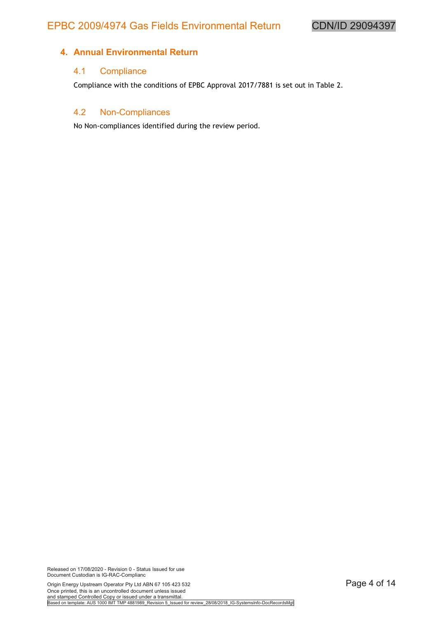#### <span id="page-3-0"></span>**4. Annual Environmental Return**

#### 4.1 Compliance

Compliance with the conditions of EPBC Approval 2017/7881 is set out in Table 2.

#### 4.2 Non-Compliances

No Non-compliances identified during the review period.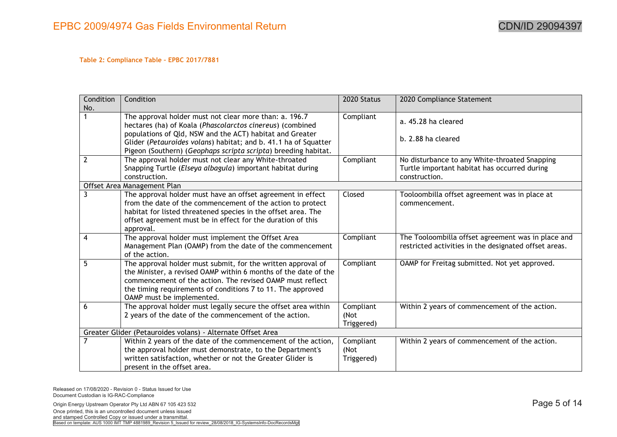#### <span id="page-4-0"></span>**Table 2: Compliance Table – EPBC 2017/7881**

| Condition      | Condition                                                       | 2020 Status | 2020 Compliance Statement                             |
|----------------|-----------------------------------------------------------------|-------------|-------------------------------------------------------|
| No.            |                                                                 |             |                                                       |
|                | The approval holder must not clear more than: a. 196.7          | Compliant   | a. 45.28 ha cleared                                   |
|                | hectares (ha) of Koala (Phascolarctos cinereus) (combined       |             |                                                       |
|                | populations of Qld, NSW and the ACT) habitat and Greater        |             |                                                       |
|                | Glider (Petauroides volans) habitat; and b. 41.1 ha of Squatter |             | b. 2.88 ha cleared                                    |
|                | Pigeon (Southern) (Geophaps scripta scripta) breeding habitat.  |             |                                                       |
| $\overline{2}$ | The approval holder must not clear any White-throated           | Compliant   | No disturbance to any White-throated Snapping         |
|                | Snapping Turtle (Elseya albagula) important habitat during      |             | Turtle important habitat has occurred during          |
|                | construction.                                                   |             | construction.                                         |
|                | Offset Area Management Plan                                     |             |                                                       |
| 3              | The approval holder must have an offset agreement in effect     | Closed      | Tooloombilla offset agreement was in place at         |
|                | from the date of the commencement of the action to protect      |             | commencement.                                         |
|                | habitat for listed threatened species in the offset area. The   |             |                                                       |
|                | offset agreement must be in effect for the duration of this     |             |                                                       |
|                | approval.                                                       |             |                                                       |
| $\overline{4}$ | The approval holder must implement the Offset Area              | Compliant   | The Tooloombilla offset agreement was in place and    |
|                | Management Plan (OAMP) from the date of the commencement        |             | restricted activities in the designated offset areas. |
|                | of the action.                                                  |             |                                                       |
| 5              | The approval holder must submit, for the written approval of    | Compliant   | OAMP for Freitag submitted. Not yet approved.         |
|                | the Minister, a revised OAMP within 6 months of the date of the |             |                                                       |
|                | commencement of the action. The revised OAMP must reflect       |             |                                                       |
|                | the timing requirements of conditions 7 to 11. The approved     |             |                                                       |
|                | OAMP must be implemented.                                       |             |                                                       |
| 6              | The approval holder must legally secure the offset area within  | Compliant   | Within 2 years of commencement of the action.         |
|                | 2 years of the date of the commencement of the action.          | (Not        |                                                       |
|                |                                                                 | Triggered)  |                                                       |
|                | Greater Glider (Petauroides volans) - Alternate Offset Area     |             |                                                       |
|                | Within 2 years of the date of the commencement of the action,   | Compliant   | Within 2 years of commencement of the action.         |
|                | the approval holder must demonstrate, to the Department's       | (Not        |                                                       |
|                | written satisfaction, whether or not the Greater Glider is      | Triggered)  |                                                       |
|                | present in the offset area.                                     |             |                                                       |

Released on 17/08/2020 - Revision 0 - Status Issued for Use Document Custodian is IG-RAC-Compliance

Origin Energy Upstream Operator Pty Ltd ABN 67 105 423 532 **Page 5 of 14** Once printed, this is an uncontrolled document unless issued and stamped Controlled Copy or issued under a transmittal.<br>Based on template: AUS 1000 IMT TMP 4881989\_Revision 5\_Issued for review\_28/08/2018\_IG-SystemsInfo-DocRecordsMgt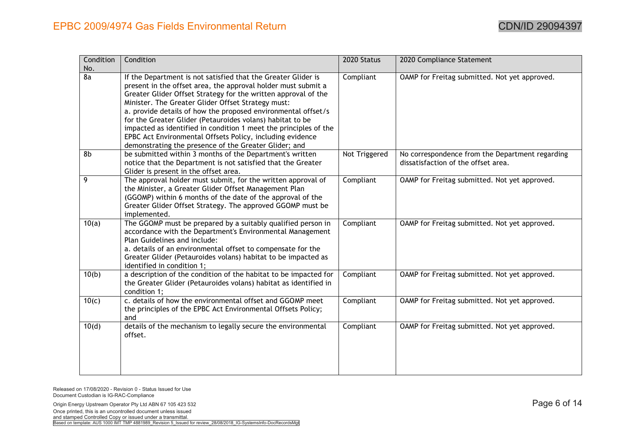| Condition | Condition                                                                                                                      | 2020 Status   | 2020 Compliance Statement                       |
|-----------|--------------------------------------------------------------------------------------------------------------------------------|---------------|-------------------------------------------------|
| No.       |                                                                                                                                |               |                                                 |
| 8a        | If the Department is not satisfied that the Greater Glider is<br>present in the offset area, the approval holder must submit a | Compliant     | OAMP for Freitag submitted. Not yet approved.   |
|           | Greater Glider Offset Strategy for the written approval of the                                                                 |               |                                                 |
|           | Minister. The Greater Glider Offset Strategy must:                                                                             |               |                                                 |
|           | a. provide details of how the proposed environmental offset/s                                                                  |               |                                                 |
|           | for the Greater Glider (Petauroides volans) habitat to be                                                                      |               |                                                 |
|           | impacted as identified in condition 1 meet the principles of the                                                               |               |                                                 |
|           | EPBC Act Environmental Offsets Policy, including evidence                                                                      |               |                                                 |
|           | demonstrating the presence of the Greater Glider; and                                                                          |               |                                                 |
| 8b        | be submitted within 3 months of the Department's written                                                                       | Not Triggered | No correspondence from the Department regarding |
|           | notice that the Department is not satisfied that the Greater                                                                   |               | dissatisfaction of the offset area.             |
|           | Glider is present in the offset area.                                                                                          |               |                                                 |
| 9         | The approval holder must submit, for the written approval of                                                                   | Compliant     | OAMP for Freitag submitted. Not yet approved.   |
|           | the Minister, a Greater Glider Offset Management Plan                                                                          |               |                                                 |
|           | (GGOMP) within 6 months of the date of the approval of the                                                                     |               |                                                 |
|           | Greater Glider Offset Strategy. The approved GGOMP must be                                                                     |               |                                                 |
|           | implemented.                                                                                                                   |               |                                                 |
| 10(a)     | The GGOMP must be prepared by a suitably qualified person in                                                                   | Compliant     | OAMP for Freitag submitted. Not yet approved.   |
|           | accordance with the Department's Environmental Management                                                                      |               |                                                 |
|           | Plan Guidelines and include:                                                                                                   |               |                                                 |
|           | a. details of an environmental offset to compensate for the                                                                    |               |                                                 |
|           | Greater Glider (Petauroides volans) habitat to be impacted as                                                                  |               |                                                 |
| 10(b)     | identified in condition 1;<br>a description of the condition of the habitat to be impacted for                                 | Compliant     | OAMP for Freitag submitted. Not yet approved.   |
|           | the Greater Glider (Petauroides volans) habitat as identified in                                                               |               |                                                 |
|           | condition 1;                                                                                                                   |               |                                                 |
| 10(c)     | c. details of how the environmental offset and GGOMP meet                                                                      | Compliant     | OAMP for Freitag submitted. Not yet approved.   |
|           | the principles of the EPBC Act Environmental Offsets Policy;                                                                   |               |                                                 |
|           | and                                                                                                                            |               |                                                 |
| 10(d)     | details of the mechanism to legally secure the environmental                                                                   | Compliant     | OAMP for Freitag submitted. Not yet approved.   |
|           | offset.                                                                                                                        |               |                                                 |
|           |                                                                                                                                |               |                                                 |
|           |                                                                                                                                |               |                                                 |
|           |                                                                                                                                |               |                                                 |
|           |                                                                                                                                |               |                                                 |

Origin Energy Upstream Operator Pty Ltd ABN 67 105 423 532 **Page 6 of 14** Once printed, this is an uncontrolled document unless issued and stamped Controlled Copy or issued under a transmittal.<br>Based on template: AUS 1000 IMT TMP 4881989\_Revision 5\_Issued for review\_28/08/2018\_IG-SystemsInfo-DocRecordsMgt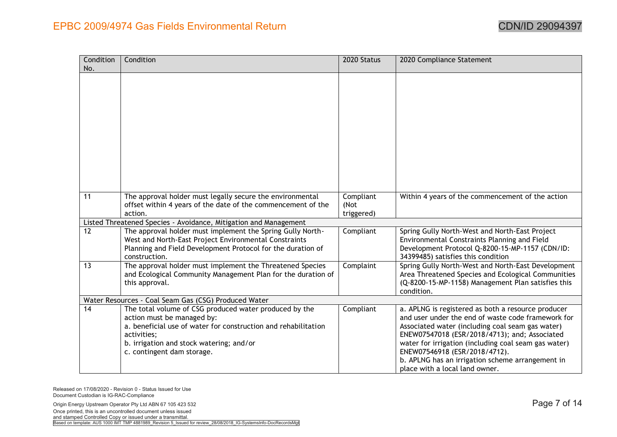| Condition<br>No. | Condition                                                                                                                                                                                                                                       | 2020 Status                     | 2020 Compliance Statement                                                                                                                                                                                                                                                                                                                                                                    |
|------------------|-------------------------------------------------------------------------------------------------------------------------------------------------------------------------------------------------------------------------------------------------|---------------------------------|----------------------------------------------------------------------------------------------------------------------------------------------------------------------------------------------------------------------------------------------------------------------------------------------------------------------------------------------------------------------------------------------|
|                  |                                                                                                                                                                                                                                                 |                                 |                                                                                                                                                                                                                                                                                                                                                                                              |
| 11               | The approval holder must legally secure the environmental<br>offset within 4 years of the date of the commencement of the<br>action.                                                                                                            | Compliant<br>(Not<br>triggered) | Within 4 years of the commencement of the action                                                                                                                                                                                                                                                                                                                                             |
|                  | Listed Threatened Species - Avoidance, Mitigation and Management                                                                                                                                                                                |                                 |                                                                                                                                                                                                                                                                                                                                                                                              |
| 12               | The approval holder must implement the Spring Gully North-<br>West and North-East Project Environmental Constraints<br>Planning and Field Development Protocol for the duration of<br>construction.                                             | Compliant                       | Spring Gully North-West and North-East Project<br>Environmental Constraints Planning and Field<br>Development Protocol Q-8200-15-MP-1157 (CDN/ID:<br>34399485) satisfies this condition                                                                                                                                                                                                      |
| 13               | The approval holder must implement the Threatened Species<br>and Ecological Community Management Plan for the duration of<br>this approval.                                                                                                     | Complaint                       | Spring Gully North-West and North-East Development<br>Area Threatened Species and Ecological Communities<br>(Q-8200-15-MP-1158) Management Plan satisfies this<br>condition.                                                                                                                                                                                                                 |
|                  | Water Resources - Coal Seam Gas (CSG) Produced Water                                                                                                                                                                                            |                                 |                                                                                                                                                                                                                                                                                                                                                                                              |
| 14               | The total volume of CSG produced water produced by the<br>action must be managed by:<br>a. beneficial use of water for construction and rehabilitation<br>activities;<br>b. irrigation and stock watering; and/or<br>c. contingent dam storage. | Compliant                       | a. APLNG is registered as both a resource producer<br>and user under the end of waste code framework for<br>Associated water (including coal seam gas water)<br>ENEW07547018 (ESR/2018/4713); and; Associated<br>water for irrigation (including coal seam gas water)<br>ENEW07546918 (ESR/2018/4712).<br>b. APLNG has an irrigation scheme arrangement in<br>place with a local land owner. |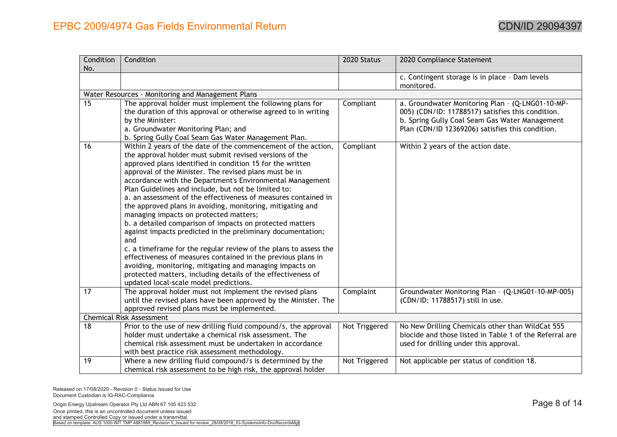| Condition<br>No. | Condition                                                                                                                                                                                                                                                                                                                                                                                                                                                                                                                                                                                                                                                                                                                                                                                                                                                                                                                                                                                 | 2020 Status   | 2020 Compliance Statement                                                                                                                                                                                   |
|------------------|-------------------------------------------------------------------------------------------------------------------------------------------------------------------------------------------------------------------------------------------------------------------------------------------------------------------------------------------------------------------------------------------------------------------------------------------------------------------------------------------------------------------------------------------------------------------------------------------------------------------------------------------------------------------------------------------------------------------------------------------------------------------------------------------------------------------------------------------------------------------------------------------------------------------------------------------------------------------------------------------|---------------|-------------------------------------------------------------------------------------------------------------------------------------------------------------------------------------------------------------|
|                  |                                                                                                                                                                                                                                                                                                                                                                                                                                                                                                                                                                                                                                                                                                                                                                                                                                                                                                                                                                                           |               | c. Contingent storage is in place - Dam levels<br>monitored.                                                                                                                                                |
|                  | Water Resources - Monitoring and Management Plans                                                                                                                                                                                                                                                                                                                                                                                                                                                                                                                                                                                                                                                                                                                                                                                                                                                                                                                                         |               |                                                                                                                                                                                                             |
| $\overline{15}$  | The approval holder must implement the following plans for<br>the duration of this approval or otherwise agreed to in writing<br>by the Minister:<br>a. Groundwater Monitoring Plan; and<br>b. Spring Gully Coal Seam Gas Water Management Plan.                                                                                                                                                                                                                                                                                                                                                                                                                                                                                                                                                                                                                                                                                                                                          | Compliant     | a. Groundwater Monitoring Plan - (Q-LNG01-10-MP-<br>005) (CDN/ID: 11788517) satisfies this condition.<br>b. Spring Gully Coal Seam Gas Water Management<br>Plan (CDN/ID 12369206) satisfies this condition. |
| 16               | Within 2 years of the date of the commencement of the action,<br>the approval holder must submit revised versions of the<br>approved plans identified in condition 15 for the written<br>approval of the Minister. The revised plans must be in<br>accordance with the Department's Environmental Management<br>Plan Guidelines and include, but not be limited to:<br>a. an assessment of the effectiveness of measures contained in<br>the approved plans in avoiding, monitoring, mitigating and<br>managing impacts on protected matters;<br>b. a detailed comparison of impacts on protected matters<br>against impacts predicted in the preliminary documentation;<br>and<br>c. a timeframe for the regular review of the plans to assess the<br>effectiveness of measures contained in the previous plans in<br>avoiding, monitoring, mitigating and managing impacts on<br>protected matters, including details of the effectiveness of<br>updated local-scale model predictions. | Compliant     | Within 2 years of the action date.                                                                                                                                                                          |
| 17               | The approval holder must not implement the revised plans<br>until the revised plans have been approved by the Minister. The<br>approved revised plans must be implemented.                                                                                                                                                                                                                                                                                                                                                                                                                                                                                                                                                                                                                                                                                                                                                                                                                | Complaint     | Groundwater Monitoring Plan - (Q-LNG01-10-MP-005)<br>(CDN/ID: 11788517) still in use.                                                                                                                       |
|                  | <b>Chemical Risk Assessment</b>                                                                                                                                                                                                                                                                                                                                                                                                                                                                                                                                                                                                                                                                                                                                                                                                                                                                                                                                                           |               |                                                                                                                                                                                                             |
| 18               | Prior to the use of new drilling fluid compound/s, the approval<br>holder must undertake a chemical risk assessment. The<br>chemical risk assessment must be undertaken in accordance<br>with best practice risk assessment methodology.                                                                                                                                                                                                                                                                                                                                                                                                                                                                                                                                                                                                                                                                                                                                                  | Not Triggered | No New Drilling Chemicals other than WildCat 555<br>biocide and those listed in Table 1 of the Referral are<br>used for drilling under this approval.                                                       |
| 19               | Where a new drilling fluid compound/s is determined by the<br>chemical risk assessment to be high risk, the approval holder                                                                                                                                                                                                                                                                                                                                                                                                                                                                                                                                                                                                                                                                                                                                                                                                                                                               | Not Triggered | Not applicable per status of condition 18.                                                                                                                                                                  |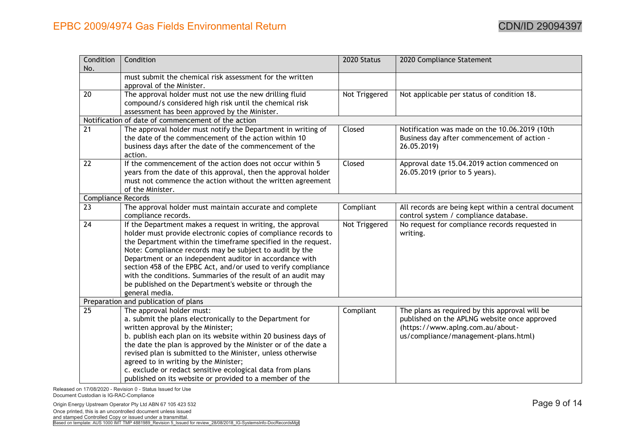| Condition<br>No.          | Condition                                                                                                                                                                                                                                                                                                                                                                                                                                                                                                                         | 2020 Status   | 2020 Compliance Statement                                                                                                                                                  |
|---------------------------|-----------------------------------------------------------------------------------------------------------------------------------------------------------------------------------------------------------------------------------------------------------------------------------------------------------------------------------------------------------------------------------------------------------------------------------------------------------------------------------------------------------------------------------|---------------|----------------------------------------------------------------------------------------------------------------------------------------------------------------------------|
|                           | must submit the chemical risk assessment for the written<br>approval of the Minister.                                                                                                                                                                                                                                                                                                                                                                                                                                             |               |                                                                                                                                                                            |
| $\overline{20}$           | The approval holder must not use the new drilling fluid<br>compound/s considered high risk until the chemical risk<br>assessment has been approved by the Minister.                                                                                                                                                                                                                                                                                                                                                               | Not Triggered | Not applicable per status of condition 18.                                                                                                                                 |
|                           | Notification of date of commencement of the action                                                                                                                                                                                                                                                                                                                                                                                                                                                                                |               |                                                                                                                                                                            |
| 21                        | The approval holder must notify the Department in writing of<br>the date of the commencement of the action within 10<br>business days after the date of the commencement of the<br>action.                                                                                                                                                                                                                                                                                                                                        | Closed        | Notification was made on the 10.06.2019 (10th<br>Business day after commencement of action -<br>26.05.2019)                                                                |
| 22                        | If the commencement of the action does not occur within 5<br>years from the date of this approval, then the approval holder<br>must not commence the action without the written agreement<br>of the Minister.                                                                                                                                                                                                                                                                                                                     | Closed        | Approval date 15.04.2019 action commenced on<br>26.05.2019 (prior to 5 years).                                                                                             |
| <b>Compliance Records</b> |                                                                                                                                                                                                                                                                                                                                                                                                                                                                                                                                   |               |                                                                                                                                                                            |
| $\overline{23}$           | The approval holder must maintain accurate and complete<br>compliance records.                                                                                                                                                                                                                                                                                                                                                                                                                                                    | Compliant     | All records are being kept within a central document<br>control system / compliance database.                                                                              |
| 24                        | If the Department makes a request in writing, the approval<br>holder must provide electronic copies of compliance records to<br>the Department within the timeframe specified in the request.<br>Note: Compliance records may be subject to audit by the<br>Department or an independent auditor in accordance with<br>section 458 of the EPBC Act, and/or used to verify compliance<br>with the conditions. Summaries of the result of an audit may<br>be published on the Department's website or through the<br>general media. | Not Triggered | No request for compliance records requested in<br>writing.                                                                                                                 |
|                           | Preparation and publication of plans                                                                                                                                                                                                                                                                                                                                                                                                                                                                                              |               |                                                                                                                                                                            |
| $\overline{25}$           | The approval holder must:<br>a. submit the plans electronically to the Department for<br>written approval by the Minister;<br>b. publish each plan on its website within 20 business days of<br>the date the plan is approved by the Minister or of the date a<br>revised plan is submitted to the Minister, unless otherwise<br>agreed to in writing by the Minister;<br>c. exclude or redact sensitive ecological data from plans<br>published on its website or provided to a member of the                                    | Compliant     | The plans as required by this approval will be<br>published on the APLNG website once approved<br>(https://www.aplng.com.au/about-<br>us/compliance/management-plans.html) |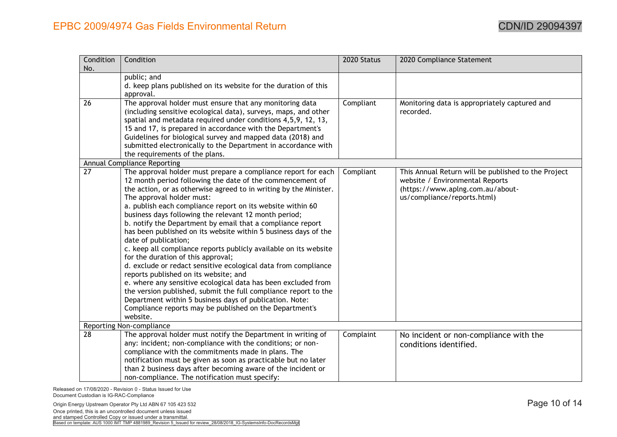| Condition       | Condition                                                                                              | 2020 Status | 2020 Compliance Statement                           |
|-----------------|--------------------------------------------------------------------------------------------------------|-------------|-----------------------------------------------------|
| No.             |                                                                                                        |             |                                                     |
|                 | public; and                                                                                            |             |                                                     |
|                 | d. keep plans published on its website for the duration of this<br>approval.                           |             |                                                     |
| 26              | The approval holder must ensure that any monitoring data                                               | Compliant   | Monitoring data is appropriately captured and       |
|                 | (including sensitive ecological data), surveys, maps, and other                                        |             | recorded.                                           |
|                 | spatial and metadata required under conditions 4,5,9, 12, 13,                                          |             |                                                     |
|                 | 15 and 17, is prepared in accordance with the Department's                                             |             |                                                     |
|                 | Guidelines for biological survey and mapped data (2018) and                                            |             |                                                     |
|                 | submitted electronically to the Department in accordance with                                          |             |                                                     |
|                 | the requirements of the plans.                                                                         |             |                                                     |
|                 | <b>Annual Compliance Reporting</b>                                                                     |             |                                                     |
| $\overline{27}$ | The approval holder must prepare a compliance report for each                                          | Compliant   | This Annual Return will be published to the Project |
|                 | 12 month period following the date of the commencement of                                              |             | website / Environmental Reports                     |
|                 | the action, or as otherwise agreed to in writing by the Minister.                                      |             | (https://www.aplng.com.au/about-                    |
|                 | The approval holder must:                                                                              |             | us/compliance/reports.html)                         |
|                 | a. publish each compliance report on its website within 60                                             |             |                                                     |
|                 | business days following the relevant 12 month period;                                                  |             |                                                     |
|                 | b. notify the Department by email that a compliance report                                             |             |                                                     |
|                 | has been published on its website within 5 business days of the                                        |             |                                                     |
|                 | date of publication;                                                                                   |             |                                                     |
|                 | c. keep all compliance reports publicly available on its website<br>for the duration of this approval; |             |                                                     |
|                 | d. exclude or redact sensitive ecological data from compliance                                         |             |                                                     |
|                 | reports published on its website; and                                                                  |             |                                                     |
|                 | e. where any sensitive ecological data has been excluded from                                          |             |                                                     |
|                 | the version published, submit the full compliance report to the                                        |             |                                                     |
|                 | Department within 5 business days of publication. Note:                                                |             |                                                     |
|                 | Compliance reports may be published on the Department's                                                |             |                                                     |
|                 | website.                                                                                               |             |                                                     |
|                 | Reporting Non-compliance                                                                               |             |                                                     |
| 28              | The approval holder must notify the Department in writing of                                           | Complaint   | No incident or non-compliance with the              |
|                 | any: incident; non-compliance with the conditions; or non-                                             |             | conditions identified.                              |
|                 | compliance with the commitments made in plans. The                                                     |             |                                                     |
|                 | notification must be given as soon as practicable but no later                                         |             |                                                     |
|                 | than 2 business days after becoming aware of the incident or                                           |             |                                                     |
|                 | non-compliance. The notification must specify:                                                         |             |                                                     |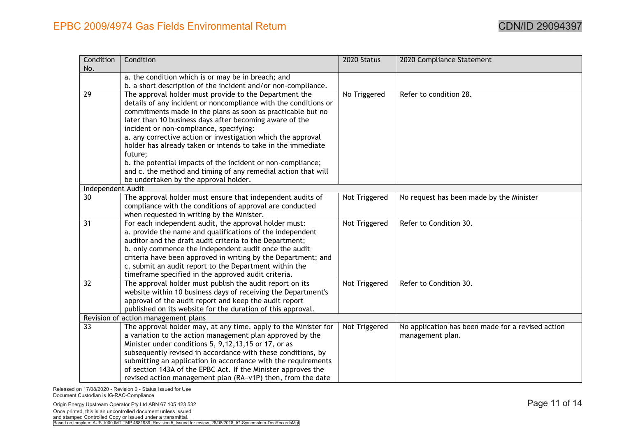| Condition<br>No.  | Condition                                                       | 2020 Status   | 2020 Compliance Statement                         |
|-------------------|-----------------------------------------------------------------|---------------|---------------------------------------------------|
|                   | a. the condition which is or may be in breach; and              |               |                                                   |
|                   | b. a short description of the incident and/or non-compliance.   |               |                                                   |
| 29                | The approval holder must provide to the Department the          | No Triggered  | Refer to condition 28.                            |
|                   | details of any incident or noncompliance with the conditions or |               |                                                   |
|                   | commitments made in the plans as soon as practicable but no     |               |                                                   |
|                   | later than 10 business days after becoming aware of the         |               |                                                   |
|                   | incident or non-compliance, specifying:                         |               |                                                   |
|                   | a. any corrective action or investigation which the approval    |               |                                                   |
|                   | holder has already taken or intends to take in the immediate    |               |                                                   |
|                   | future;                                                         |               |                                                   |
|                   | b. the potential impacts of the incident or non-compliance;     |               |                                                   |
|                   | and c. the method and timing of any remedial action that will   |               |                                                   |
|                   | be undertaken by the approval holder.                           |               |                                                   |
| Independent Audit |                                                                 |               |                                                   |
| 30                | The approval holder must ensure that independent audits of      | Not Triggered | No request has been made by the Minister          |
|                   | compliance with the conditions of approval are conducted        |               |                                                   |
|                   | when requested in writing by the Minister.                      |               |                                                   |
| 31                | For each independent audit, the approval holder must:           | Not Triggered | Refer to Condition 30.                            |
|                   | a. provide the name and qualifications of the independent       |               |                                                   |
|                   | auditor and the draft audit criteria to the Department;         |               |                                                   |
|                   | b. only commence the independent audit once the audit           |               |                                                   |
|                   | criteria have been approved in writing by the Department; and   |               |                                                   |
|                   | c. submit an audit report to the Department within the          |               |                                                   |
|                   | timeframe specified in the approved audit criteria.             |               |                                                   |
| 32                | The approval holder must publish the audit report on its        | Not Triggered | Refer to Condition 30.                            |
|                   | website within 10 business days of receiving the Department's   |               |                                                   |
|                   | approval of the audit report and keep the audit report          |               |                                                   |
|                   | published on its website for the duration of this approval.     |               |                                                   |
|                   | Revision of action management plans                             |               |                                                   |
| $\overline{33}$   | The approval holder may, at any time, apply to the Minister for | Not Triggered | No application has been made for a revised action |
|                   | a variation to the action management plan approved by the       |               | management plan.                                  |
|                   | Minister under conditions 5, 9,12,13,15 or 17, or as            |               |                                                   |
|                   | subsequently revised in accordance with these conditions, by    |               |                                                   |
|                   | submitting an application in accordance with the requirements   |               |                                                   |
|                   | of section 143A of the EPBC Act. If the Minister approves the   |               |                                                   |
|                   | revised action management plan (RA~v1P) then, from the date     |               |                                                   |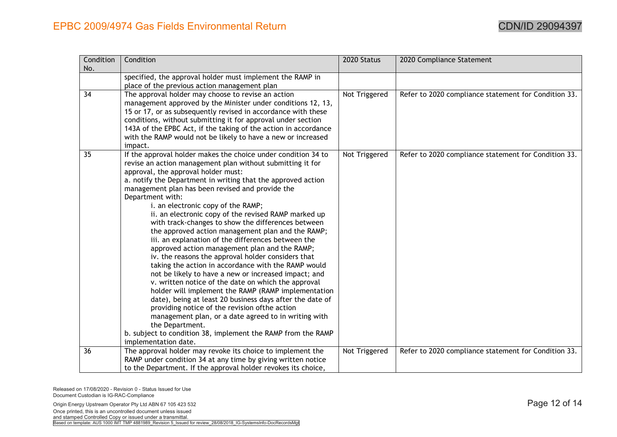| Condition       | Condition                                                                                                                     | 2020 Status   | 2020 Compliance Statement                            |
|-----------------|-------------------------------------------------------------------------------------------------------------------------------|---------------|------------------------------------------------------|
| No.             |                                                                                                                               |               |                                                      |
|                 | specified, the approval holder must implement the RAMP in                                                                     |               |                                                      |
|                 | place of the previous action management plan                                                                                  |               |                                                      |
| $\overline{34}$ | The approval holder may choose to revise an action                                                                            | Not Triggered | Refer to 2020 compliance statement for Condition 33. |
|                 | management approved by the Minister under conditions 12, 13,                                                                  |               |                                                      |
|                 | 15 or 17, or as subsequently revised in accordance with these                                                                 |               |                                                      |
|                 | conditions, without submitting it for approval under section                                                                  |               |                                                      |
|                 | 143A of the EPBC Act, if the taking of the action in accordance                                                               |               |                                                      |
|                 | with the RAMP would not be likely to have a new or increased                                                                  |               |                                                      |
|                 | impact.                                                                                                                       |               |                                                      |
| 35 <sub>5</sub> | If the approval holder makes the choice under condition 34 to                                                                 | Not Triggered | Refer to 2020 compliance statement for Condition 33. |
|                 | revise an action management plan without submitting it for<br>approval, the approval holder must:                             |               |                                                      |
|                 | a. notify the Department in writing that the approved action                                                                  |               |                                                      |
|                 | management plan has been revised and provide the                                                                              |               |                                                      |
|                 | Department with:                                                                                                              |               |                                                      |
|                 | i. an electronic copy of the RAMP;                                                                                            |               |                                                      |
|                 | ii. an electronic copy of the revised RAMP marked up                                                                          |               |                                                      |
|                 | with track-changes to show the differences between                                                                            |               |                                                      |
|                 | the approved action management plan and the RAMP;                                                                             |               |                                                      |
|                 | iii. an explanation of the differences between the                                                                            |               |                                                      |
|                 | approved action management plan and the RAMP;                                                                                 |               |                                                      |
|                 | iv. the reasons the approval holder considers that                                                                            |               |                                                      |
|                 | taking the action in accordance with the RAMP would                                                                           |               |                                                      |
|                 | not be likely to have a new or increased impact; and                                                                          |               |                                                      |
|                 | v. written notice of the date on which the approval                                                                           |               |                                                      |
|                 | holder will implement the RAMP (RAMP implementation                                                                           |               |                                                      |
|                 | date), being at least 20 business days after the date of                                                                      |               |                                                      |
|                 | providing notice of the revision of the action                                                                                |               |                                                      |
|                 | management plan, or a date agreed to in writing with                                                                          |               |                                                      |
|                 | the Department.                                                                                                               |               |                                                      |
|                 | b. subject to condition 38, implement the RAMP from the RAMP                                                                  |               |                                                      |
|                 | implementation date.                                                                                                          |               |                                                      |
| 36              | The approval holder may revoke its choice to implement the                                                                    | Not Triggered | Refer to 2020 compliance statement for Condition 33. |
|                 | RAMP under condition 34 at any time by giving written notice<br>to the Department. If the approval holder revokes its choice, |               |                                                      |
|                 |                                                                                                                               |               |                                                      |

Origin Energy Upstream Operator Pty Ltd ABN 67 105 423 532 **Page 12 of 14** Once printed, this is an uncontrolled document unless issued and stamped Controlled Copy or issued under a transmittal.<br>Based on template: AUS 1000 IMT TMP 4881989\_Revision 5\_Issued for review\_28/08/2018\_IG-SystemsInfo-DocRecordsMgt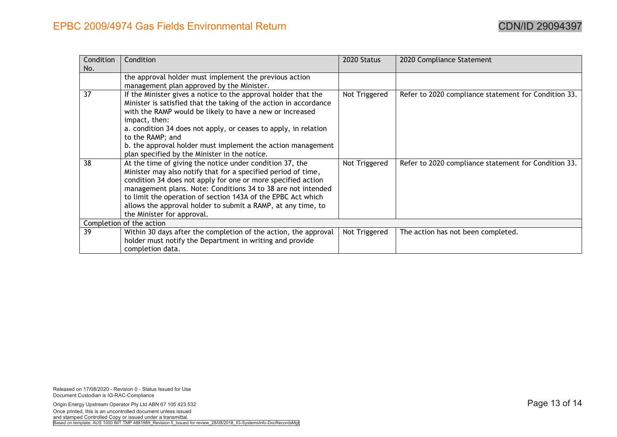| Condition                | Condition                                                         | 2020 Status   | 2020 Compliance Statement                            |
|--------------------------|-------------------------------------------------------------------|---------------|------------------------------------------------------|
| No.                      |                                                                   |               |                                                      |
|                          | the approval holder must implement the previous action            |               |                                                      |
|                          | management plan approved by the Minister.                         |               |                                                      |
| 37                       | If the Minister gives a notice to the approval holder that the    | Not Triggered | Refer to 2020 compliance statement for Condition 33. |
|                          | Minister is satisfied that the taking of the action in accordance |               |                                                      |
|                          | with the RAMP would be likely to have a new or increased          |               |                                                      |
|                          | impact, then:                                                     |               |                                                      |
|                          | a. condition 34 does not apply, or ceases to apply, in relation   |               |                                                      |
|                          | to the RAMP; and                                                  |               |                                                      |
|                          | b. the approval holder must implement the action management       |               |                                                      |
|                          | plan specified by the Minister in the notice.                     |               |                                                      |
| 38                       | At the time of giving the notice under condition 37, the          | Not Triggered | Refer to 2020 compliance statement for Condition 33. |
|                          | Minister may also notify that for a specified period of time,     |               |                                                      |
|                          | condition 34 does not apply for one or more specified action      |               |                                                      |
|                          | management plans. Note: Conditions 34 to 38 are not intended      |               |                                                      |
|                          | to limit the operation of section 143A of the EPBC Act which      |               |                                                      |
|                          | allows the approval holder to submit a RAMP, at any time, to      |               |                                                      |
|                          | the Minister for approval.                                        |               |                                                      |
| Completion of the action |                                                                   |               |                                                      |
| 39                       | Within 30 days after the completion of the action, the approval   | Not Triggered | The action has not been completed.                   |
|                          | holder must notify the Department in writing and provide          |               |                                                      |
|                          | completion data.                                                  |               |                                                      |